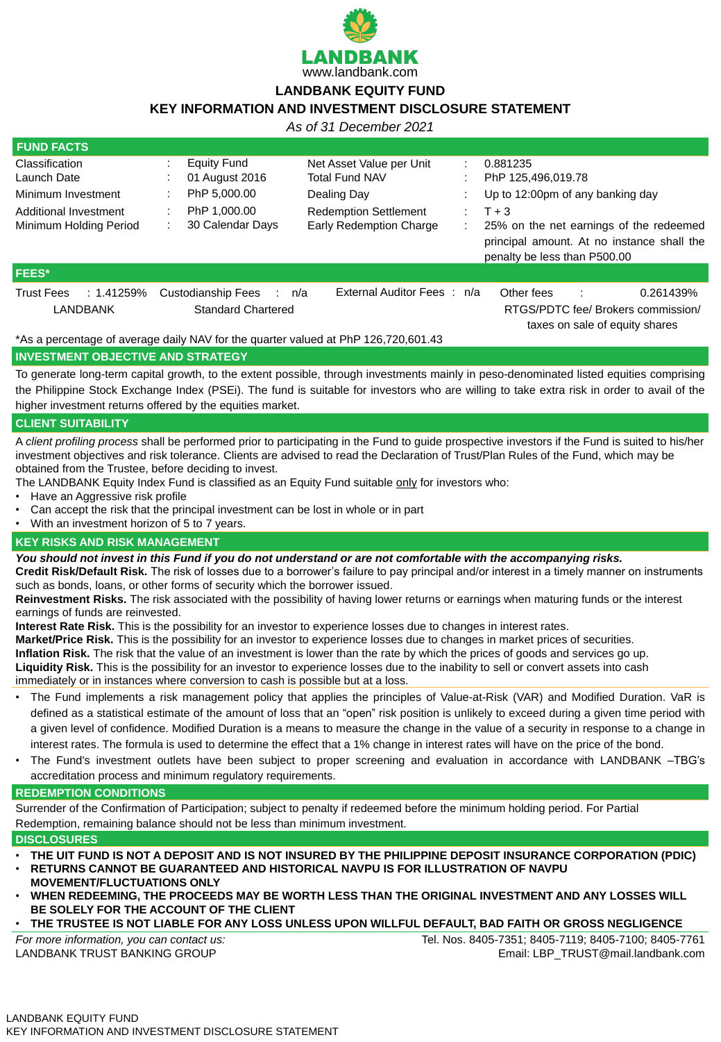

## **LANDBANK EQUITY FUND**

# **KEY INFORMATION AND INVESTMENT DISCLOSURE STATEMENT**

*As of 31 December 2021*

| <b>FUND FACTS</b>                  |                                    |                                                                                    |                           |                                                                                                                       |  |  |
|------------------------------------|------------------------------------|------------------------------------------------------------------------------------|---------------------------|-----------------------------------------------------------------------------------------------------------------------|--|--|
| <b>Classification</b>              | <b>Equity Fund</b>                 | Net Asset Value per Unit                                                           |                           | 0.881235                                                                                                              |  |  |
| Launch Date                        | 01 August 2016                     | <b>Total Fund NAV</b>                                                              |                           | PhP 125,496,019.78                                                                                                    |  |  |
| Minimum Investment                 | PhP 5,000.00                       | Dealing Day                                                                        |                           | Up to 12:00pm of any banking day                                                                                      |  |  |
| Additional Investment              | PhP 1,000.00                       | <b>Redemption Settlement</b>                                                       | $\mathbb{Z}^{\mathbb{Z}}$ | $T + 3$                                                                                                               |  |  |
| Minimum Holding Period             | 30 Calendar Days                   | <b>Early Redemption Charge</b>                                                     |                           | 25% on the net earnings of the redeemed<br>principal amount. At no instance shall the<br>penalty be less than P500.00 |  |  |
| <b>FEES*</b>                       |                                    |                                                                                    |                           |                                                                                                                       |  |  |
| <b>Trust Fees</b><br>$: 1.41259\%$ | <b>Custodianship Fees</b><br>: n/a | External Auditor Fees: n/a                                                         |                           | Other fees<br>0.261439%                                                                                               |  |  |
| <b>LANDBANK</b>                    | <b>Standard Chartered</b>          |                                                                                    |                           | RTGS/PDTC fee/ Brokers commission/<br>taxes on sale of equity shares                                                  |  |  |
|                                    |                                    | *As a percentage of average daily NAV for the quarter valued at PhP 126,720,601.43 |                           |                                                                                                                       |  |  |

#### **INVESTMENT OBJECTIVE AND STRATEGY**

To generate long-term capital growth, to the extent possible, through investments mainly in peso-denominated listed equities comprising the Philippine Stock Exchange Index (PSEi). The fund is suitable for investors who are willing to take extra risk in order to avail of the higher investment returns offered by the equities market.

#### **CLIENT SUITABILITY**

A *client profiling process* shall be performed prior to participating in the Fund to guide prospective investors if the Fund is suited to his/her investment objectives and risk tolerance. Clients are advised to read the Declaration of Trust/Plan Rules of the Fund, which may be obtained from the Trustee, before deciding to invest.

The LANDBANK Equity Index Fund is classified as an Equity Fund suitable only for investors who:

- Have an Aggressive risk profile
- Can accept the risk that the principal investment can be lost in whole or in part
- With an investment horizon of 5 to 7 years.

#### **KEY RISKS AND RISK MANAGEMENT**

*You should not invest in this Fund if you do not understand or are not comfortable with the accompanying risks.*

**Credit Risk/Default Risk.** The risk of losses due to a borrower's failure to pay principal and/or interest in a timely manner on instruments such as bonds, loans, or other forms of security which the borrower issued.

**Reinvestment Risks.** The risk associated with the possibility of having lower returns or earnings when maturing funds or the interest

earnings of funds are reinvested.

**Interest Rate Risk.** This is the possibility for an investor to experience losses due to changes in interest rates. **Market/Price Risk.** This is the possibility for an investor to experience losses due to changes in market prices of securities. **Inflation Risk.** The risk that the value of an investment is lower than the rate by which the prices of goods and services go up. **Liquidity Risk.** This is the possibility for an investor to experience losses due to the inability to sell or convert assets into cash immediately or in instances where conversion to cash is possible but at a loss.

- The Fund implements a risk management policy that applies the principles of Value-at-Risk (VAR) and Modified Duration. VaR is defined as a statistical estimate of the amount of loss that an "open" risk position is unlikely to exceed during a given time period with a given level of confidence. Modified Duration is a means to measure the change in the value of a security in response to a change in interest rates. The formula is used to determine the effect that a 1% change in interest rates will have on the price of the bond.
- The Fund's investment outlets have been subject to proper screening and evaluation in accordance with LANDBANK –TBG's accreditation process and minimum regulatory requirements.

#### **REDEMPTION CONDITIONS**

Surrender of the Confirmation of Participation; subject to penalty if redeemed before the minimum holding period. For Partial

Redemption, remaining balance should not be less than minimum investment.

#### **DISCLOSURES**

- **THE UIT FUND IS NOT A DEPOSIT AND IS NOT INSURED BY THE PHILIPPINE DEPOSIT INSURANCE CORPORATION (PDIC)**
- **RETURNS CANNOT BE GUARANTEED AND HISTORICAL NAVPU IS FOR ILLUSTRATION OF NAVPU MOVEMENT/FLUCTUATIONS ONLY**
- **WHEN REDEEMING, THE PROCEEDS MAY BE WORTH LESS THAN THE ORIGINAL INVESTMENT AND ANY LOSSES WILL BE SOLELY FOR THE ACCOUNT OF THE CLIENT**
- **THE TRUSTEE IS NOT LIABLE FOR ANY LOSS UNLESS UPON WILLFUL DEFAULT, BAD FAITH OR GROSS NEGLIGENCE**

*For more information, you can contact us:* LANDBANK TRUST BANKING GROUP

Tel. Nos. 8405-7351; 8405-7119; 8405-7100; 8405-7761 Email: LBP\_TRUST@mail.landbank.com